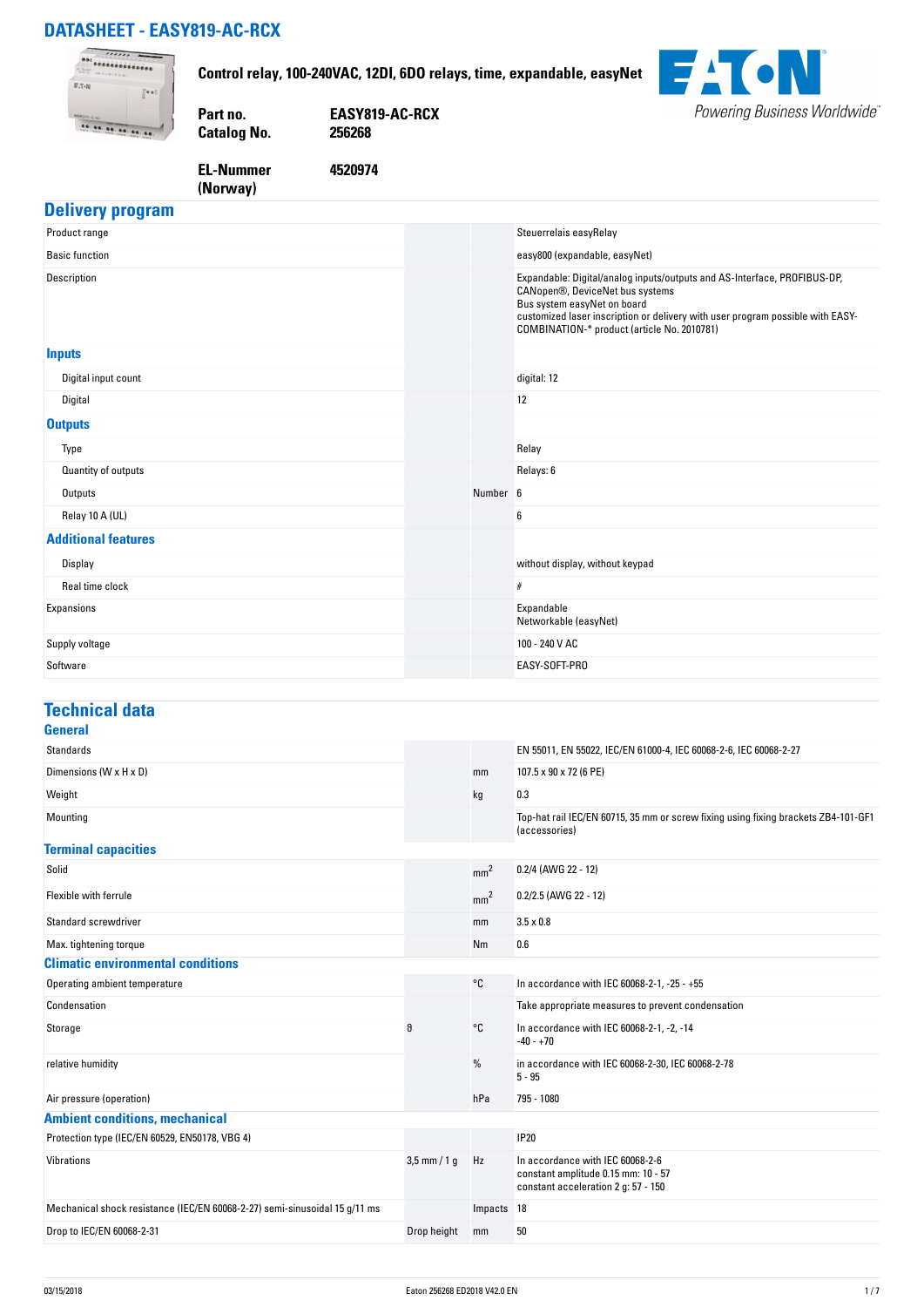### **DATASHEET - EASY819-AC-RCX**

**(Norway)** 



### **Delivery program**

| Product range              |          | Steuerrelais easyRelay                                                                                                                                                                                                                                                      |
|----------------------------|----------|-----------------------------------------------------------------------------------------------------------------------------------------------------------------------------------------------------------------------------------------------------------------------------|
| <b>Basic function</b>      |          | easy800 (expandable, easyNet)                                                                                                                                                                                                                                               |
| Description                |          | Expandable: Digital/analog inputs/outputs and AS-Interface, PROFIBUS-DP,<br>CANopen®, DeviceNet bus systems<br>Bus system easyNet on board<br>customized laser inscription or delivery with user program possible with EASY-<br>COMBINATION-* product (article No. 2010781) |
| <b>Inputs</b>              |          |                                                                                                                                                                                                                                                                             |
| Digital input count        |          | digital: 12                                                                                                                                                                                                                                                                 |
| Digital                    |          | 12                                                                                                                                                                                                                                                                          |
| <b>Outputs</b>             |          |                                                                                                                                                                                                                                                                             |
| Type                       |          | Relay                                                                                                                                                                                                                                                                       |
| Quantity of outputs        |          | Relays: 6                                                                                                                                                                                                                                                                   |
| Outputs                    | Number 6 |                                                                                                                                                                                                                                                                             |
| Relay 10 A (UL)            |          | 6                                                                                                                                                                                                                                                                           |
| <b>Additional features</b> |          |                                                                                                                                                                                                                                                                             |
| Display                    |          | without display, without keypad                                                                                                                                                                                                                                             |
| Real time clock            |          | $\#$                                                                                                                                                                                                                                                                        |
| Expansions                 |          | Expandable<br>Networkable (easyNet)                                                                                                                                                                                                                                         |
| Supply voltage             |          | 100 - 240 V AC                                                                                                                                                                                                                                                              |
| Software                   |          | EASY-SOFT-PRO                                                                                                                                                                                                                                                               |

#### **Technical data General**

| utilitial                                                                  |                |                 |                                                                                                                |
|----------------------------------------------------------------------------|----------------|-----------------|----------------------------------------------------------------------------------------------------------------|
| Standards                                                                  |                |                 | EN 55011, EN 55022, IEC/EN 61000-4, IEC 60068-2-6, IEC 60068-2-27                                              |
| Dimensions (W x H x D)                                                     |                | mm              | 107.5 x 90 x 72 (6 PE)                                                                                         |
| Weight                                                                     |                | kg              | 0.3                                                                                                            |
| Mounting                                                                   |                |                 | Top-hat rail IEC/EN 60715, 35 mm or screw fixing using fixing brackets ZB4-101-GF1<br>(accessories)            |
| <b>Terminal capacities</b>                                                 |                |                 |                                                                                                                |
| Solid                                                                      |                | mm <sup>2</sup> | 0.2/4 (AWG 22 - 12)                                                                                            |
| Flexible with ferrule                                                      |                | mm <sup>2</sup> | $0.2/2.5$ (AWG 22 - 12)                                                                                        |
| <b>Standard screwdriver</b>                                                |                | mm              | $3.5 \times 0.8$                                                                                               |
| Max. tightening torque                                                     |                | Nm              | 0.6                                                                                                            |
| <b>Climatic environmental conditions</b>                                   |                |                 |                                                                                                                |
| Operating ambient temperature                                              |                | °C              | In accordance with IEC 60068-2-1, -25 - +55                                                                    |
| Condensation                                                               |                |                 | Take appropriate measures to prevent condensation                                                              |
| Storage                                                                    | 9              | °C              | In accordance with IEC 60068-2-1, -2, -14<br>$-40 - +70$                                                       |
| relative humidity                                                          |                | %               | in accordance with IEC 60068-2-30, IEC 60068-2-78<br>$5 - 95$                                                  |
| Air pressure (operation)                                                   |                | hPa             | 795 - 1080                                                                                                     |
| <b>Ambient conditions, mechanical</b>                                      |                |                 |                                                                                                                |
| Protection type (IEC/EN 60529, EN50178, VBG 4)                             |                |                 | <b>IP20</b>                                                                                                    |
| Vibrations                                                                 | $3,5$ mm / 1 g | Hz              | In accordance with IEC 60068-2-6<br>constant amplitude 0.15 mm: 10 - 57<br>constant acceleration 2 g: 57 - 150 |
| Mechanical shock resistance (IEC/EN 60068-2-27) semi-sinusoidal 15 g/11 ms |                | Impacts 18      |                                                                                                                |
| Drop to IEC/EN 60068-2-31                                                  | Drop height    | mm              | 50                                                                                                             |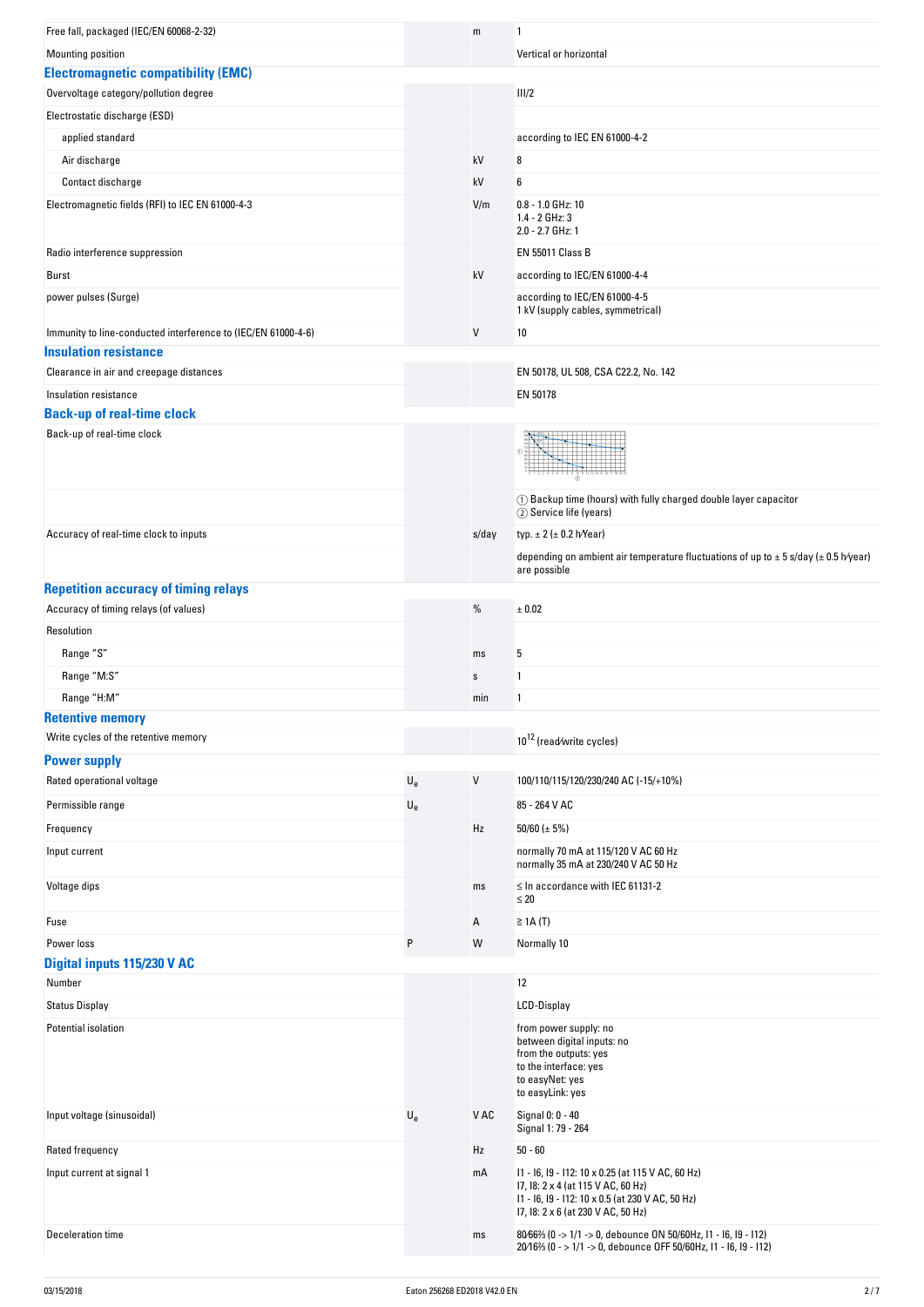| Free fall, packaged (IEC/EN 60068-2-32)                                                       |                           | m     | 1                                                                                                                                                                       |
|-----------------------------------------------------------------------------------------------|---------------------------|-------|-------------------------------------------------------------------------------------------------------------------------------------------------------------------------|
| <b>Mounting position</b>                                                                      |                           |       | Vertical or horizontal                                                                                                                                                  |
| <b>Electromagnetic compatibility (EMC)</b>                                                    |                           |       |                                                                                                                                                                         |
| Overvoltage category/pollution degree                                                         |                           |       | III/2                                                                                                                                                                   |
| Electrostatic discharge (ESD)                                                                 |                           |       |                                                                                                                                                                         |
| applied standard                                                                              |                           |       | according to IEC EN 61000-4-2                                                                                                                                           |
| Air discharge                                                                                 |                           | kV    | 8                                                                                                                                                                       |
| Contact discharge                                                                             |                           | kV    | 6                                                                                                                                                                       |
| Electromagnetic fields (RFI) to IEC EN 61000-4-3                                              |                           | V/m   | $0.8 - 1.0$ GHz: 10                                                                                                                                                     |
|                                                                                               |                           |       | 1.4 - 2 GHz: 3<br>2.0 - 2.7 GHz: 1                                                                                                                                      |
| Radio interference suppression                                                                |                           |       | <b>EN 55011 Class B</b>                                                                                                                                                 |
| Burst                                                                                         |                           | kV    | according to IEC/EN 61000-4-4                                                                                                                                           |
| power pulses (Surge)                                                                          |                           |       | according to IEC/EN 61000-4-5                                                                                                                                           |
|                                                                                               |                           |       | 1 kV (supply cables, symmetrical)                                                                                                                                       |
| Immunity to line-conducted interference to (IEC/EN 61000-4-6)<br><b>Insulation resistance</b> |                           | V     | 10                                                                                                                                                                      |
| Clearance in air and creepage distances                                                       |                           |       | EN 50178, UL 508, CSA C22.2, No. 142                                                                                                                                    |
| Insulation resistance                                                                         |                           |       | EN 50178                                                                                                                                                                |
| <b>Back-up of real-time clock</b>                                                             |                           |       |                                                                                                                                                                         |
| Back-up of real-time clock                                                                    |                           |       |                                                                                                                                                                         |
|                                                                                               |                           |       |                                                                                                                                                                         |
|                                                                                               |                           |       | (1) Backup time (hours) with fully charged double layer capacitor<br>2 Service life (years)                                                                             |
| Accuracy of real-time clock to inputs                                                         |                           | s/day | typ. $\pm 2$ ( $\pm 0.2$ h/Year)                                                                                                                                        |
|                                                                                               |                           |       | depending on ambient air temperature fluctuations of up to $\pm$ 5 s/day ( $\pm$ 0.5 h/year)                                                                            |
|                                                                                               |                           |       | are possible                                                                                                                                                            |
| <b>Repetition accuracy of timing relays</b>                                                   |                           |       |                                                                                                                                                                         |
| Accuracy of timing relays (of values)                                                         |                           | $\%$  | ± 0.02                                                                                                                                                                  |
| Resolution                                                                                    |                           |       |                                                                                                                                                                         |
| Range "S"                                                                                     |                           | ms    | 5                                                                                                                                                                       |
| Range "M:S"                                                                                   |                           | s     | 1                                                                                                                                                                       |
| Range "H:M"                                                                                   |                           | min   | 1                                                                                                                                                                       |
| <b>Retentive memory</b>                                                                       |                           |       |                                                                                                                                                                         |
| Write cycles of the retentive memory                                                          |                           |       | 10 <sup>12</sup> (read/write cycles)                                                                                                                                    |
| <b>Power supply</b>                                                                           |                           |       |                                                                                                                                                                         |
| Rated operational voltage                                                                     | $\mathsf{U}_{\mathsf{e}}$ | V     | 100/110/115/120/230/240 AC (-15/+10%)                                                                                                                                   |
|                                                                                               |                           |       |                                                                                                                                                                         |
| Permissible range                                                                             | $U_{e}$                   |       | 85 - 264 V AC                                                                                                                                                           |
| Frequency                                                                                     |                           | Hz    | 50/60 ( $\pm$ 5%)                                                                                                                                                       |
| Input current                                                                                 |                           |       | normally 70 mA at 115/120 V AC 60 Hz<br>normally 35 mA at 230/240 V AC 50 Hz                                                                                            |
| Voltage dips                                                                                  |                           | ms    | $\leq$ In accordance with IEC 61131-2<br>$\leq 20$                                                                                                                      |
| Fuse                                                                                          |                           | Α     | $\geq$ 1A (T)                                                                                                                                                           |
| Power loss                                                                                    | P                         | W     | Normally 10                                                                                                                                                             |
| Digital inputs 115/230 V AC                                                                   |                           |       |                                                                                                                                                                         |
| Number                                                                                        |                           |       | 12                                                                                                                                                                      |
| <b>Status Display</b>                                                                         |                           |       | LCD-Display                                                                                                                                                             |
| Potential isolation                                                                           |                           |       | from power supply: no                                                                                                                                                   |
|                                                                                               |                           |       | between digital inputs: no<br>from the outputs: yes<br>to the interface: yes<br>to easyNet: yes<br>to easyLink: yes                                                     |
| Input voltage (sinusoidal)                                                                    | $\mathsf{U}_{\mathsf{e}}$ | V AC  | Signal 0: 0 - 40<br>Signal 1: 79 - 264                                                                                                                                  |
| Rated frequency                                                                               |                           | Hz    | $50 - 60$                                                                                                                                                               |
| Input current at signal 1                                                                     |                           | mA    | 11 - 16, 19 - 112: 10 x 0.25 (at 115 V AC, 60 Hz)<br>17, 18: 2 x 4 (at 115 V AC, 60 Hz)<br>11 - 16, 19 - 112: 10 x 0.5 (at 230 V AC, 50 Hz)                             |
| Deceleration time                                                                             |                           | ms    | 17, 18: 2 x 6 (at 230 V AC, 50 Hz)<br>8066% (0 -> 1/1 -> 0, debounce ON 50/60Hz, I1 - I6, I9 - I12)<br>20/16% (0 - > 1/1 -> 0, debounce OFF 50/60Hz, I1 - I6, I9 - I12) |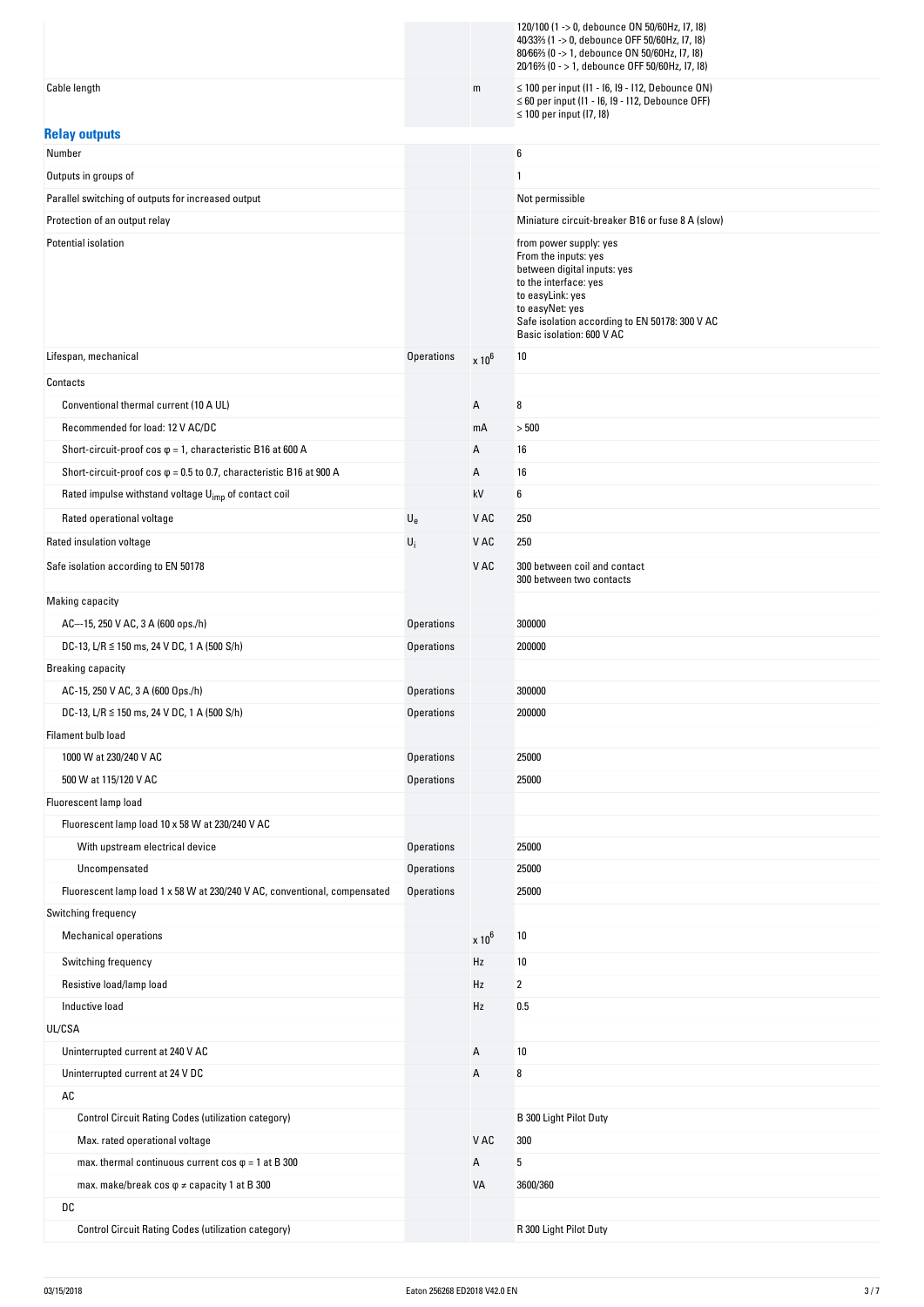|                                                                             |                   |               | 120/100 (1 -> 0, debounce ON 50/60Hz, I7, I8)<br>40/33% (1 -> 0, debounce OFF 50/60Hz, I7, I8)<br>80/66% (0 -> 1, debounce ON 50/60Hz, 17, 18)<br>20/16% (0 - > 1, debounce OFF 50/60Hz, 17, 18)                             |
|-----------------------------------------------------------------------------|-------------------|---------------|------------------------------------------------------------------------------------------------------------------------------------------------------------------------------------------------------------------------------|
| Cable length                                                                |                   | m             | ≤ 100 per input (I1 - I6, I9 - I12, Debounce ON)<br>$\leq 60$ per input (I1 - I6, I9 - I12, Debounce OFF)<br>$\leq$ 100 per input (I7, I8)                                                                                   |
| <b>Relay outputs</b>                                                        |                   |               |                                                                                                                                                                                                                              |
| Number                                                                      |                   |               | 6                                                                                                                                                                                                                            |
| Outputs in groups of                                                        |                   |               | 1                                                                                                                                                                                                                            |
| Parallel switching of outputs for increased output                          |                   |               | Not permissible                                                                                                                                                                                                              |
| Protection of an output relay                                               |                   |               | Miniature circuit-breaker B16 or fuse 8 A (slow)                                                                                                                                                                             |
| Potential isolation                                                         |                   |               | from power supply: yes<br>From the inputs: yes<br>between digital inputs: yes<br>to the interface: yes<br>to easyLink: yes<br>to easyNet: yes<br>Safe isolation according to EN 50178: 300 V AC<br>Basic isolation: 600 V AC |
| Lifespan, mechanical                                                        | <b>Operations</b> | $\times 10^6$ | 10                                                                                                                                                                                                                           |
| Contacts                                                                    |                   |               |                                                                                                                                                                                                                              |
| Conventional thermal current (10 A UL)                                      |                   | Α             | 8                                                                                                                                                                                                                            |
| Recommended for load: 12 V AC/DC                                            |                   | mA            | > 500                                                                                                                                                                                                                        |
| Short-circuit-proof cos $\varphi$ = 1, characteristic B16 at 600 A          |                   | Α             | 16                                                                                                                                                                                                                           |
| Short-circuit-proof cos $\varphi$ = 0.5 to 0.7, characteristic B16 at 900 A |                   | Α             | 16                                                                                                                                                                                                                           |
| Rated impulse withstand voltage U <sub>imp</sub> of contact coil            |                   | kV            | 6                                                                                                                                                                                                                            |
| Rated operational voltage                                                   | $U_{e}$           | V AC          | 250                                                                                                                                                                                                                          |
| Rated insulation voltage                                                    | $U_i$             | V AC          | 250                                                                                                                                                                                                                          |
| Safe isolation according to EN 50178                                        |                   | V AC          | 300 between coil and contact<br>300 between two contacts                                                                                                                                                                     |
| Making capacity                                                             |                   |               |                                                                                                                                                                                                                              |
| AC--15, 250 V AC, 3 A (600 ops./h)                                          | <b>Operations</b> |               | 300000                                                                                                                                                                                                                       |
| DC-13, L/R $\leq$ 150 ms, 24 V DC, 1 A (500 S/h)                            | <b>Operations</b> |               | 200000                                                                                                                                                                                                                       |
| <b>Breaking capacity</b>                                                    |                   |               |                                                                                                                                                                                                                              |
| AC-15, 250 V AC, 3 A (600 Ops./h)                                           | <b>Operations</b> |               | 300000                                                                                                                                                                                                                       |
| DC-13, L/R ≤ 150 ms, 24 V DC, 1 A (500 S/h)                                 | <b>Operations</b> |               | 200000                                                                                                                                                                                                                       |
| Filament bulb load                                                          |                   |               |                                                                                                                                                                                                                              |
| 1000 W at 230/240 V AC                                                      | <b>Operations</b> |               | 25000                                                                                                                                                                                                                        |
| 500 W at 115/120 V AC                                                       | <b>Operations</b> |               | 25000                                                                                                                                                                                                                        |
| Fluorescent lamp load                                                       |                   |               |                                                                                                                                                                                                                              |
| Fluorescent lamp load 10 x 58 W at 230/240 V AC                             |                   |               |                                                                                                                                                                                                                              |
| With upstream electrical device                                             | <b>Operations</b> |               | 25000                                                                                                                                                                                                                        |
| Uncompensated                                                               | <b>Operations</b> |               | 25000                                                                                                                                                                                                                        |
| Fluorescent lamp load 1 x 58 W at 230/240 V AC, conventional, compensated   | <b>Operations</b> |               | 25000                                                                                                                                                                                                                        |
| Switching frequency                                                         |                   |               |                                                                                                                                                                                                                              |
| <b>Mechanical operations</b>                                                |                   | $\times 10^6$ | 10                                                                                                                                                                                                                           |
| Switching frequency                                                         |                   | Hz            | 10                                                                                                                                                                                                                           |
| Resistive load/lamp load                                                    |                   | Hz            | 2                                                                                                                                                                                                                            |
| Inductive load                                                              |                   | Hz            | 0.5                                                                                                                                                                                                                          |
| UL/CSA                                                                      |                   |               |                                                                                                                                                                                                                              |
| Uninterrupted current at 240 V AC                                           |                   | Α             | 10                                                                                                                                                                                                                           |
| Uninterrupted current at 24 V DC                                            |                   | Α             | 8                                                                                                                                                                                                                            |
| $\mathsf{A}\mathsf{C}$                                                      |                   |               |                                                                                                                                                                                                                              |
| Control Circuit Rating Codes (utilization category)                         |                   |               | B 300 Light Pilot Duty                                                                                                                                                                                                       |
| Max. rated operational voltage                                              |                   | V AC          | 300                                                                                                                                                                                                                          |
| max. thermal continuous current cos $\varphi$ = 1 at B 300                  |                   | Α             | 5                                                                                                                                                                                                                            |
| max. make/break cos $\varphi \neq$ capacity 1 at B 300                      |                   | VA            | 3600/360                                                                                                                                                                                                                     |
| DC                                                                          |                   |               |                                                                                                                                                                                                                              |
| <b>Control Circuit Rating Codes (utilization category)</b>                  |                   |               | R 300 Light Pilot Duty                                                                                                                                                                                                       |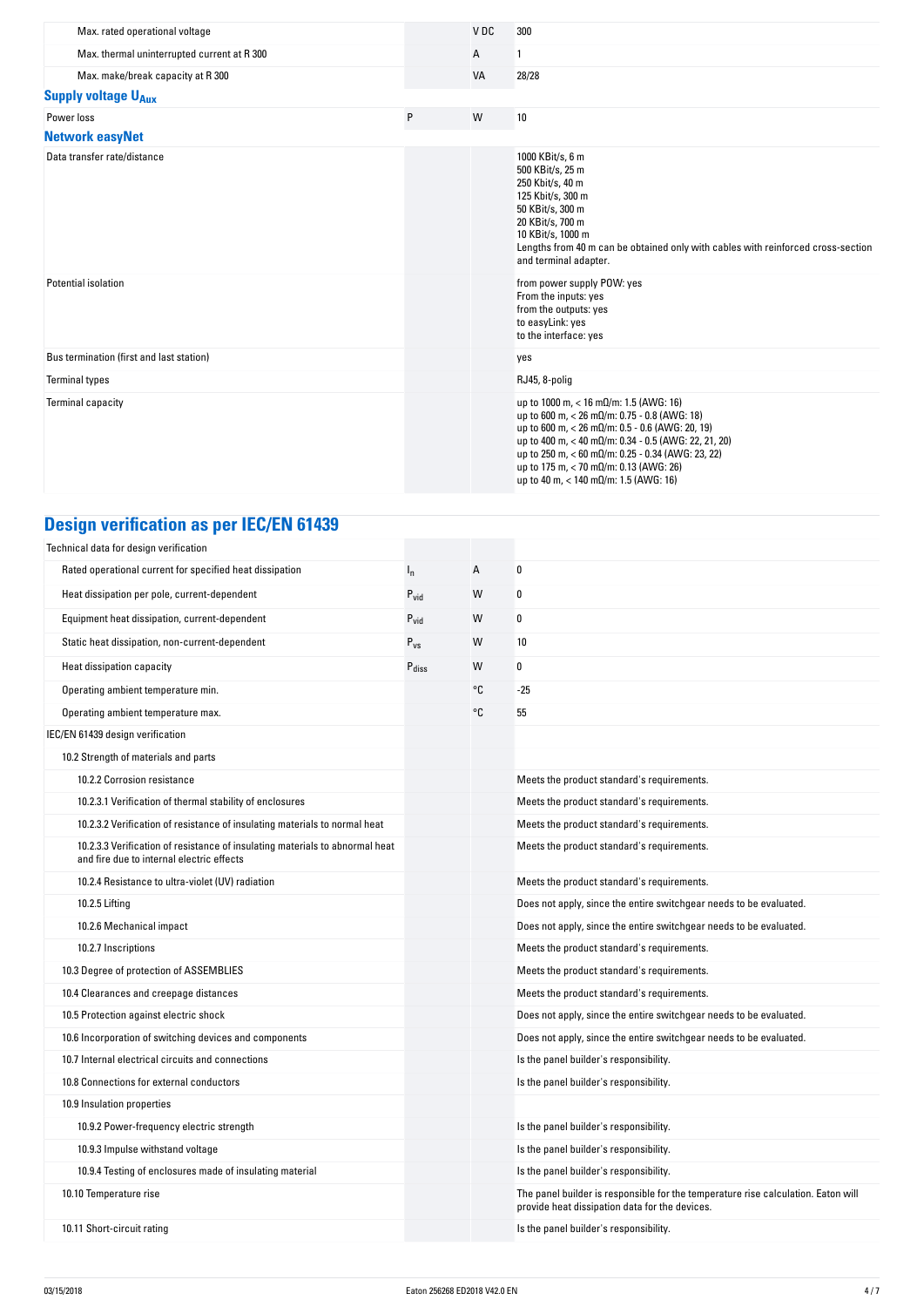| Max. rated operational voltage              |   | V <sub>DC</sub> | 300                                                                                                                                                                                                                                                                                                                                                                                            |
|---------------------------------------------|---|-----------------|------------------------------------------------------------------------------------------------------------------------------------------------------------------------------------------------------------------------------------------------------------------------------------------------------------------------------------------------------------------------------------------------|
| Max. thermal uninterrupted current at R 300 |   | Α               |                                                                                                                                                                                                                                                                                                                                                                                                |
| Max. make/break capacity at R 300           |   | <b>VA</b>       | 28/28                                                                                                                                                                                                                                                                                                                                                                                          |
| <b>Supply voltage U<sub>Aux</sub></b>       |   |                 |                                                                                                                                                                                                                                                                                                                                                                                                |
| Power loss                                  | P | W               | 10                                                                                                                                                                                                                                                                                                                                                                                             |
| <b>Network easyNet</b>                      |   |                 |                                                                                                                                                                                                                                                                                                                                                                                                |
| Data transfer rate/distance                 |   |                 | 1000 KBit/s, 6 m<br>500 KBit/s, 25 m<br>250 Kbit/s, 40 m<br>125 Kbit/s, 300 m<br>50 KBit/s, 300 m<br>20 KBit/s, 700 m<br>10 KBit/s, 1000 m<br>Lengths from 40 m can be obtained only with cables with reinforced cross-section<br>and terminal adapter.                                                                                                                                        |
| Potential isolation                         |   |                 | from power supply POW: yes<br>From the inputs: yes<br>from the outputs: yes<br>to easyLink: yes<br>to the interface: yes                                                                                                                                                                                                                                                                       |
| Bus termination (first and last station)    |   |                 | yes                                                                                                                                                                                                                                                                                                                                                                                            |
| <b>Terminal types</b>                       |   |                 | RJ45, 8-polig                                                                                                                                                                                                                                                                                                                                                                                  |
| <b>Terminal capacity</b>                    |   |                 | up to 1000 m, < 16 m $\Omega$ /m: 1.5 (AWG: 16)<br>up to 600 m, $<$ 26 m $\Omega$ /m: 0.75 - 0.8 (AWG: 18)<br>up to 600 m, $<$ 26 m $\Omega$ /m: 0.5 - 0.6 (AWG: 20, 19)<br>up to 400 m, < 40 mΩ/m: 0.34 - 0.5 (AWG: 22, 21, 20)<br>up to 250 m, < 60 mΩ/m: 0.25 - 0.34 (AWG: 23, 22)<br>up to 175 m, $<$ 70 m $\Omega$ /m: 0.13 (AWG: 26)<br>up to 40 m, $<$ 140 m $\Omega$ /m: 1.5 (AWG: 16) |

# **Design verification as per IEC/EN 61439**

| Technical data for design verification                                                                                    |                   |    |                                                                                                                                     |
|---------------------------------------------------------------------------------------------------------------------------|-------------------|----|-------------------------------------------------------------------------------------------------------------------------------------|
| Rated operational current for specified heat dissipation                                                                  | $I_n$             | A  | $\mathbf{0}$                                                                                                                        |
| Heat dissipation per pole, current-dependent                                                                              | $P_{vid}$         | W  | $\mathbf{0}$                                                                                                                        |
| Equipment heat dissipation, current-dependent                                                                             | $P_{\text{vid}}$  | W  | 0                                                                                                                                   |
| Static heat dissipation, non-current-dependent                                                                            | $P_{VS}$          | W  | 10                                                                                                                                  |
| Heat dissipation capacity                                                                                                 | $P_{\text{diss}}$ | W  | 0                                                                                                                                   |
| Operating ambient temperature min.                                                                                        |                   | °C | $-25$                                                                                                                               |
| Operating ambient temperature max.                                                                                        |                   | °C | 55                                                                                                                                  |
| IEC/EN 61439 design verification                                                                                          |                   |    |                                                                                                                                     |
| 10.2 Strength of materials and parts                                                                                      |                   |    |                                                                                                                                     |
| 10.2.2 Corrosion resistance                                                                                               |                   |    | Meets the product standard's requirements.                                                                                          |
| 10.2.3.1 Verification of thermal stability of enclosures                                                                  |                   |    | Meets the product standard's requirements.                                                                                          |
| 10.2.3.2 Verification of resistance of insulating materials to normal heat                                                |                   |    | Meets the product standard's requirements.                                                                                          |
| 10.2.3.3 Verification of resistance of insulating materials to abnormal heat<br>and fire due to internal electric effects |                   |    | Meets the product standard's requirements.                                                                                          |
| 10.2.4 Resistance to ultra-violet (UV) radiation                                                                          |                   |    | Meets the product standard's requirements.                                                                                          |
| 10.2.5 Lifting                                                                                                            |                   |    | Does not apply, since the entire switchgear needs to be evaluated.                                                                  |
| 10.2.6 Mechanical impact                                                                                                  |                   |    | Does not apply, since the entire switchgear needs to be evaluated.                                                                  |
| 10.2.7 Inscriptions                                                                                                       |                   |    | Meets the product standard's requirements.                                                                                          |
| 10.3 Degree of protection of ASSEMBLIES                                                                                   |                   |    | Meets the product standard's requirements.                                                                                          |
| 10.4 Clearances and creepage distances                                                                                    |                   |    | Meets the product standard's requirements.                                                                                          |
| 10.5 Protection against electric shock                                                                                    |                   |    | Does not apply, since the entire switchgear needs to be evaluated.                                                                  |
| 10.6 Incorporation of switching devices and components                                                                    |                   |    | Does not apply, since the entire switchgear needs to be evaluated.                                                                  |
| 10.7 Internal electrical circuits and connections                                                                         |                   |    | Is the panel builder's responsibility.                                                                                              |
| 10.8 Connections for external conductors                                                                                  |                   |    | Is the panel builder's responsibility.                                                                                              |
| 10.9 Insulation properties                                                                                                |                   |    |                                                                                                                                     |
| 10.9.2 Power-frequency electric strength                                                                                  |                   |    | Is the panel builder's responsibility.                                                                                              |
| 10.9.3 Impulse withstand voltage                                                                                          |                   |    | Is the panel builder's responsibility.                                                                                              |
| 10.9.4 Testing of enclosures made of insulating material                                                                  |                   |    | Is the panel builder's responsibility.                                                                                              |
| 10.10 Temperature rise                                                                                                    |                   |    | The panel builder is responsible for the temperature rise calculation. Eaton will<br>provide heat dissipation data for the devices. |
| 10.11 Short-circuit rating                                                                                                |                   |    | Is the panel builder's responsibility.                                                                                              |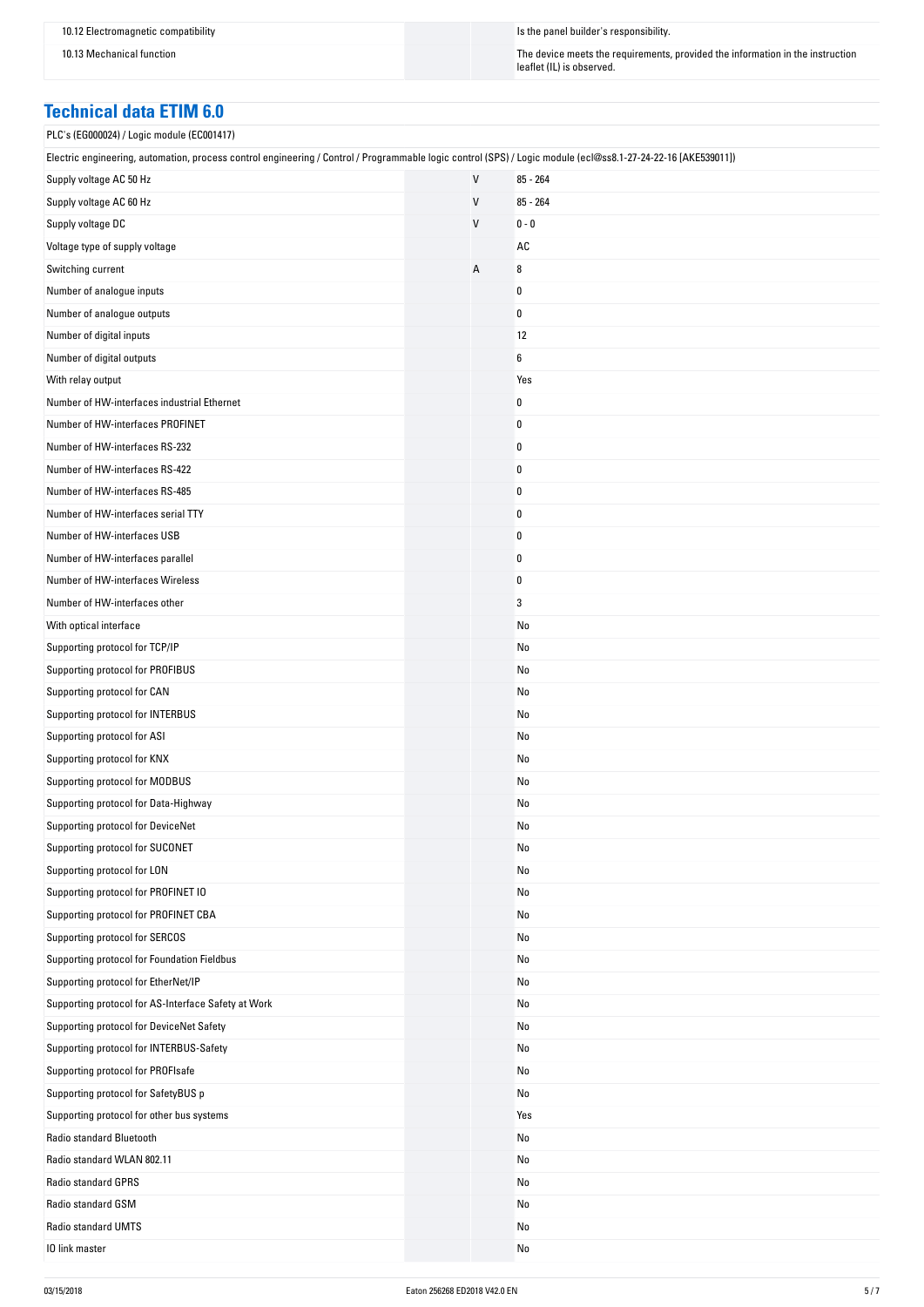10.13 Mechanical function The instruction The device meets the requirements, provided the information in the instruction leaflet (IL) is observed.

### **Technical data ETIM 6.0**

PLC's (EG000024) / Logic module (EC001417)

| Electric engineering, automation, process control engineering / Control / Programmable logic control (SPS) / Logic module (ecl@ss8.1-27-24-22-16 [AKE539011]) |              |            |
|---------------------------------------------------------------------------------------------------------------------------------------------------------------|--------------|------------|
| Supply voltage AC 50 Hz                                                                                                                                       | $\mathsf{V}$ | $85 - 264$ |
| Supply voltage AC 60 Hz                                                                                                                                       | V            | $85 - 264$ |
| Supply voltage DC                                                                                                                                             | V            | $0 - 0$    |
| Voltage type of supply voltage                                                                                                                                |              | AC         |
| Switching current                                                                                                                                             | Α            | 8          |
| Number of analogue inputs                                                                                                                                     |              | 0          |
| Number of analogue outputs                                                                                                                                    |              | 0          |
| Number of digital inputs                                                                                                                                      |              | 12         |
| Number of digital outputs                                                                                                                                     |              | 6          |
| With relay output                                                                                                                                             |              | Yes        |
| Number of HW-interfaces industrial Ethernet                                                                                                                   |              | 0          |
| Number of HW-interfaces PROFINET                                                                                                                              |              | 0          |
| Number of HW-interfaces RS-232                                                                                                                                |              | 0          |
| Number of HW-interfaces RS-422                                                                                                                                |              | 0          |
| Number of HW-interfaces RS-485                                                                                                                                |              | 0          |
| Number of HW-interfaces serial TTY                                                                                                                            |              | 0          |
| Number of HW-interfaces USB                                                                                                                                   |              | 0          |
| Number of HW-interfaces parallel                                                                                                                              |              | 0          |
| Number of HW-interfaces Wireless                                                                                                                              |              | 0          |
| Number of HW-interfaces other                                                                                                                                 |              | 3          |
| With optical interface                                                                                                                                        |              | No         |
| Supporting protocol for TCP/IP                                                                                                                                |              | No         |
| Supporting protocol for PROFIBUS                                                                                                                              |              | No         |
| Supporting protocol for CAN                                                                                                                                   |              | No         |
| Supporting protocol for INTERBUS                                                                                                                              |              | No         |
| Supporting protocol for ASI                                                                                                                                   |              | No         |
| Supporting protocol for KNX                                                                                                                                   |              | No         |
| Supporting protocol for MODBUS                                                                                                                                |              | No         |
| Supporting protocol for Data-Highway                                                                                                                          |              | No         |
| Supporting protocol for DeviceNet                                                                                                                             |              | No         |
| Supporting protocol for SUCONET                                                                                                                               |              | No         |
| Supporting protocol for LON                                                                                                                                   |              | No         |
| Supporting protocol for PROFINET IO                                                                                                                           |              | No         |
| Supporting protocol for PROFINET CBA                                                                                                                          |              | No         |
| Supporting protocol for SERCOS                                                                                                                                |              | No         |
| Supporting protocol for Foundation Fieldbus                                                                                                                   |              | No         |
| Supporting protocol for EtherNet/IP                                                                                                                           |              | No         |
| Supporting protocol for AS-Interface Safety at Work                                                                                                           |              | No         |
| Supporting protocol for DeviceNet Safety                                                                                                                      |              | No         |
| Supporting protocol for INTERBUS-Safety                                                                                                                       |              | No         |
| Supporting protocol for PROFIsafe                                                                                                                             |              | No         |
| Supporting protocol for SafetyBUS p                                                                                                                           |              | No         |
| Supporting protocol for other bus systems                                                                                                                     |              | Yes        |
| Radio standard Bluetooth                                                                                                                                      |              | No         |
| Radio standard WLAN 802.11                                                                                                                                    |              | No         |
| Radio standard GPRS                                                                                                                                           |              | No         |
| Radio standard GSM                                                                                                                                            |              | No         |
| Radio standard UMTS                                                                                                                                           |              | No         |
| 10 link master                                                                                                                                                |              | No         |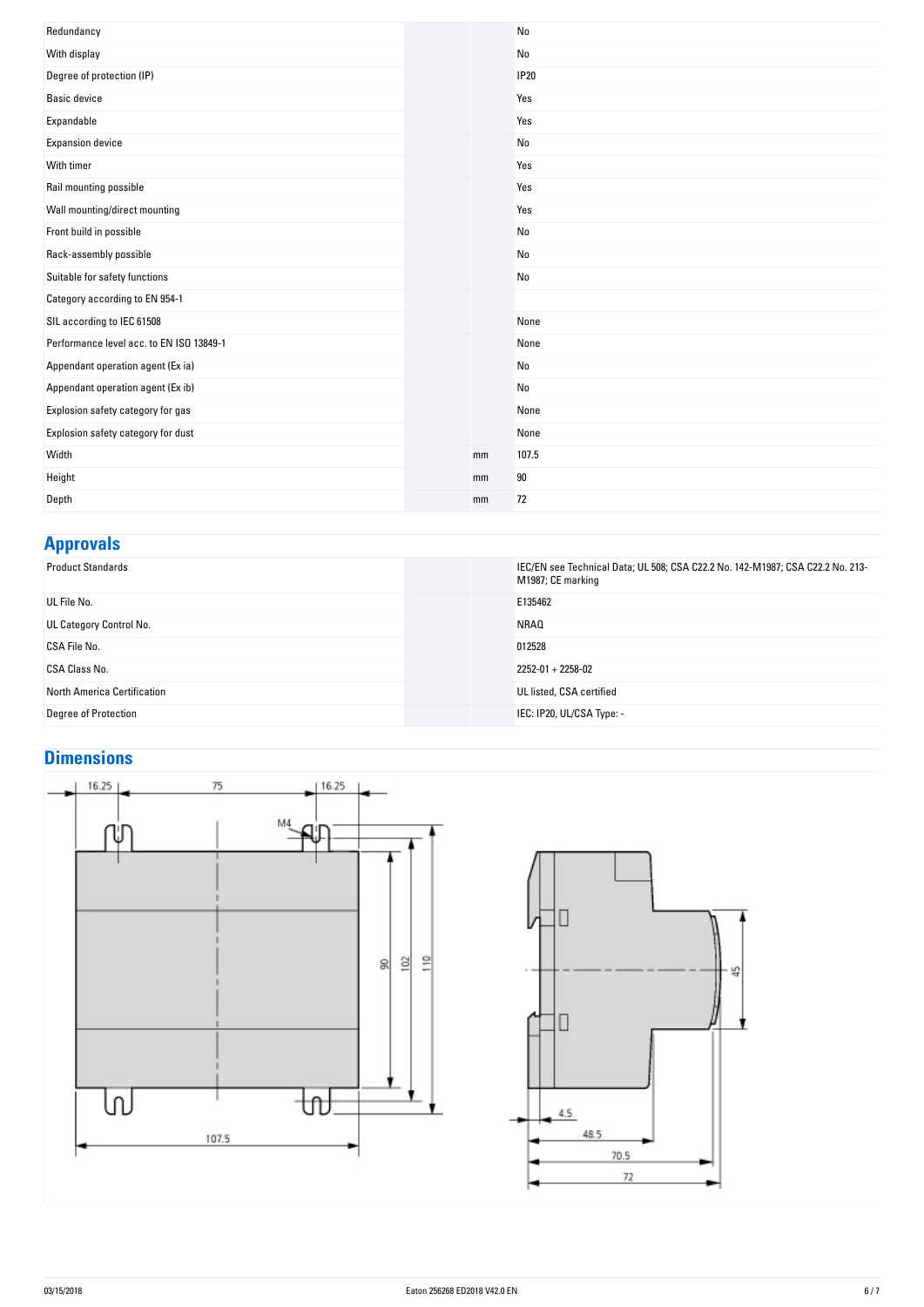| Redundancy                               |    | No             |
|------------------------------------------|----|----------------|
| With display                             |    | No             |
| Degree of protection (IP)                |    | <b>IP20</b>    |
| <b>Basic device</b>                      |    | Yes            |
| Expandable                               |    | Yes            |
| <b>Expansion device</b>                  |    | No             |
| With timer                               |    | Yes            |
| Rail mounting possible                   |    | Yes            |
| Wall mounting/direct mounting            |    | Yes            |
| Front build in possible                  |    | No             |
| Rack-assembly possible                   |    | No             |
| Suitable for safety functions            |    | No             |
| Category according to EN 954-1           |    |                |
| SIL according to IEC 61508               |    | None           |
| Performance level acc. to EN ISO 13849-1 |    | None           |
| Appendant operation agent (Ex ia)        |    | No             |
| Appendant operation agent (Ex ib)        |    | N <sub>0</sub> |
| Explosion safety category for gas        |    | None           |
| Explosion safety category for dust       |    | None           |
| Width                                    | mm | 107.5          |
| Height                                   | mm | 90             |
| Depth                                    | mm | 72             |

### **Approvals**

| <b>Product Standards</b>    | IEC/EN see Technical Data; UL 508; CSA C22.2 No. 142-M1987; CSA C22.2 No. 213-<br>M1987; CE marking |
|-----------------------------|-----------------------------------------------------------------------------------------------------|
| UL File No.                 | E135462                                                                                             |
| UL Category Control No.     | <b>NRAQ</b>                                                                                         |
| CSA File No.                | 012528                                                                                              |
| CSA Class No.               | $2252 - 01 + 2258 - 02$                                                                             |
| North America Certification | UL listed, CSA certified                                                                            |
| Degree of Protection        | IEC: IP20, UL/CSA Type: -                                                                           |

### **Dimensions**